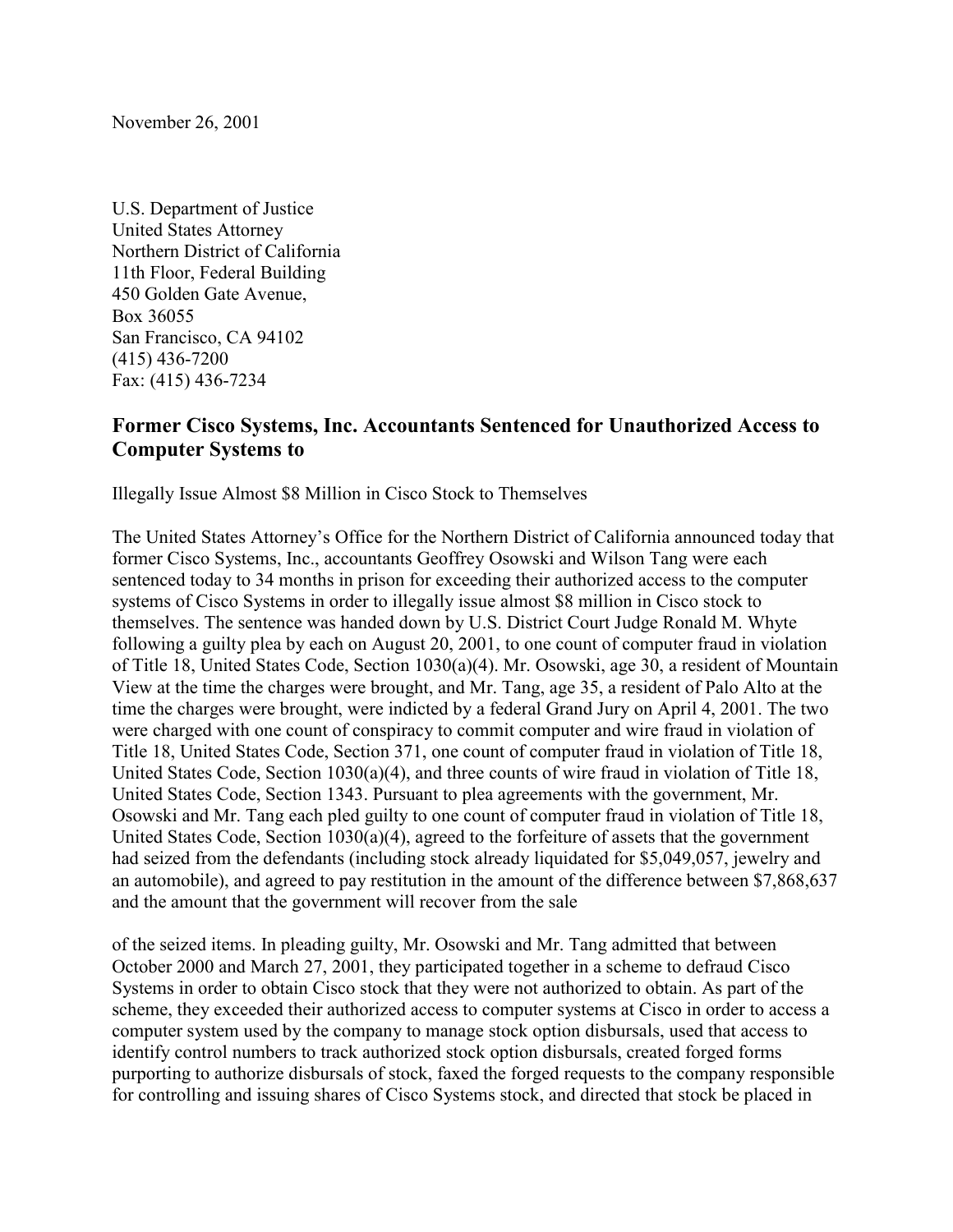November 26, 2001

U.S. Department of Justice United States Attorney Northern District of California 11th Floor, Federal Building 450 Golden Gate Avenue, Box 36055 San Francisco, CA 94102 (415) 436-7200 Fax: (415) 436-7234

## **Former Cisco Systems, Inc. Accountants Sentenced for Unauthorized Access to Computer Systems to**

Illegally Issue Almost \$8 Million in Cisco Stock to Themselves

The United States Attorney's Office for the Northern District of California announced today that former Cisco Systems, Inc., accountants Geoffrey Osowski and Wilson Tang were each sentenced today to 34 months in prison for exceeding their authorized access to the computer systems of Cisco Systems in order to illegally issue almost \$8 million in Cisco stock to themselves. The sentence was handed down by U.S. District Court Judge Ronald M. Whyte following a guilty plea by each on August 20, 2001, to one count of computer fraud in violation of Title 18, United States Code, Section 1030(a)(4). Mr. Osowski, age 30, a resident of Mountain View at the time the charges were brought, and Mr. Tang, age 35, a resident of Palo Alto at the time the charges were brought, were indicted by a federal Grand Jury on April 4, 2001. The two were charged with one count of conspiracy to commit computer and wire fraud in violation of Title 18, United States Code, Section 371, one count of computer fraud in violation of Title 18, United States Code, Section 1030(a)(4), and three counts of wire fraud in violation of Title 18, United States Code, Section 1343. Pursuant to plea agreements with the government, Mr. Osowski and Mr. Tang each pled guilty to one count of computer fraud in violation of Title 18, United States Code, Section 1030(a)(4), agreed to the forfeiture of assets that the government had seized from the defendants (including stock already liquidated for \$5,049,057, jewelry and an automobile), and agreed to pay restitution in the amount of the difference between \$7,868,637 and the amount that the government will recover from the sale

of the seized items. In pleading guilty, Mr. Osowski and Mr. Tang admitted that between October 2000 and March 27, 2001, they participated together in a scheme to defraud Cisco Systems in order to obtain Cisco stock that they were not authorized to obtain. As part of the scheme, they exceeded their authorized access to computer systems at Cisco in order to access a computer system used by the company to manage stock option disbursals, used that access to identify control numbers to track authorized stock option disbursals, created forged forms purporting to authorize disbursals of stock, faxed the forged requests to the company responsible for controlling and issuing shares of Cisco Systems stock, and directed that stock be placed in